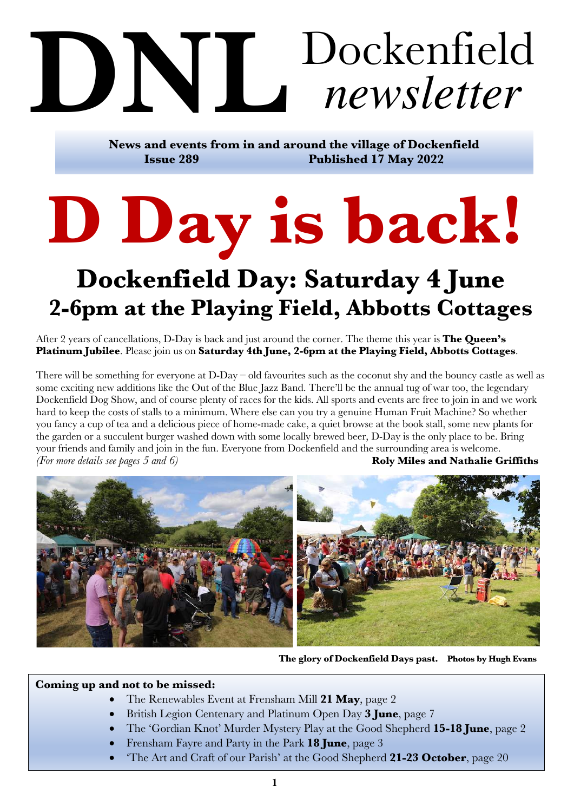# **DNL** *newsletter* Dockenfield

**News and events from in and around the village of Dockenfield Issue 289 Published 17 May 2022**

# **D Day is back!**

# **Dockenfield Day: Saturday 4 June 2-6pm at the Playing Field, Abbotts Cottages**

After 2 years of cancellations, D-Day is back and just around the corner. The theme this year is **The Queen's Platinum Jubilee**. Please join us on **Saturday 4th June, 2-6pm at the Playing Field, Abbotts Cottages**.

There will be something for everyone at D-Day – old favourites such as the coconut shy and the bouncy castle as well as some exciting new additions like the Out of the Blue Jazz Band. There'll be the annual tug of war too, the legendary Dockenfield Dog Show, and of course plenty of races for the kids. All sports and events are free to join in and we work hard to keep the costs of stalls to a minimum. Where else can you try a genuine Human Fruit Machine? So whether you fancy a cup of tea and a delicious piece of home-made cake, a quiet browse at the book stall, some new plants for the garden or a succulent burger washed down with some locally brewed beer, D-Day is the only place to be. Bring your friends and family and join in the fun. Everyone from Dockenfield and the surrounding area is welcome. *(For more details see pages 5 and 6)* **Roly Miles and Nathalie Griffiths**



**The glory of Dockenfield Days past. Photos by Hugh Evans**

#### **Coming up and not to be missed:**

- The Renewables Event at Frensham Mill **21 May**, page 2
- British Legion Centenary and Platinum Open Day **3 June**, page 7
- The 'Gordian Knot' Murder Mystery Play at the Good Shepherd **15-18 June**, page 2
- Frensham Fayre and Party in the Park **18 June**, page 3
- 'The Art and Craft of our Parish' at the Good Shepherd **21-23 October**, page 20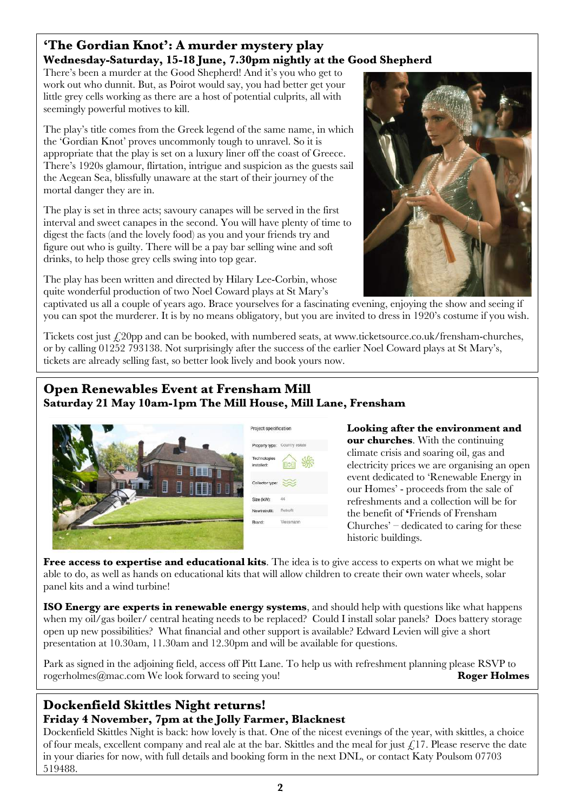#### **'The Gordian Knot': A murder mystery play Wednesday-Saturday, 15-18 June, 7.30pm nightly at the Good Shepherd**

There's been a murder at the Good Shepherd! And it's you who get to work out who dunnit. But, as Poirot would say, you had better get your little grey cells working as there are a host of potential culprits, all with seemingly powerful motives to kill.

The play's title comes from the Greek legend of the same name, in which the 'Gordian Knot' proves uncommonly tough to unravel. So it is appropriate that the play is set on a luxury liner off the coast of Greece. There's 1920s glamour, flirtation, intrigue and suspicion as the guests sail the Aegean Sea, blissfully unaware at the start of their journey of the mortal danger they are in.

The play is set in three acts; savoury canapes will be served in the first interval and sweet canapes in the second. You will have plenty of time to digest the facts (and the lovely food) as you and your friends try and figure out who is guilty. There will be a pay bar selling wine and soft drinks, to help those grey cells swing into top gear.

The play has been written and directed by Hilary Lee-Corbin, whose quite wonderful production of two Noel Coward plays at St Mary's



captivated us all a couple of years ago. Brace yourselves for a fascinating evening, enjoying the show and seeing if you can spot the murderer. It is by no means obligatory, but you are invited to dress in 1920's costume if you wish.

Tickets cost just £20pp and can be booked, with numbered seats, at www.ticketsource.co.uk/frensham-churches, or by calling 01252 793138. Not surprisingly after the success of the earlier Noel Coward plays at St Mary's, tickets are already selling fast, so better look lively and book yours now.

# **Open Renewables Event at Frensham Mill Saturday 21 May 10am-1pm The Mill House, Mill Lane, Frensham**





**Looking after the environment and our churches**. With the continuing climate crisis and soaring oil, gas and electricity prices we are organising an open event dedicated to 'Renewable Energy in our Homes' - proceeds from the sale of refreshments and a collection will be for the benefit of **'**Friends of Frensham Churches' – dedicated to caring for these historic buildings.

**Free access to expertise and educational kits**. The idea is to give access to experts on what we might be able to do, as well as hands on educational kits that will allow children to create their own water wheels, solar panel kits and a wind turbine!

**ISO Energy are experts in renewable energy systems**, and should help with questions like what happens when my oil/gas boiler/ central heating needs to be replaced? Could I install solar panels? Does battery storage open up new possibilities? What financial and other support is available? Edward Levien will give a short presentation at 10.30am, 11.30am and 12.30pm and will be available for questions.

Park as signed in the adjoining field, access off Pitt Lane. To help us with refreshment planning please RSVP to rogerholmes@mac.com We look forward to seeing you! **Roger Holmes**

# **Dockenfield Skittles Night returns!**

# **Friday 4 November, 7pm at the Jolly Farmer, Blacknest**

Dockenfield Skittles Night is back: how lovely is that. One of the nicest evenings of the year, with skittles, a choice of four meals, excellent company and real ale at the bar. Skittles and the meal for just  $\mathcal{L}[17]$ . Please reserve the date in your diaries for now, with full details and booking form in the next DNL, or contact Katy Poulsom 07703 519488.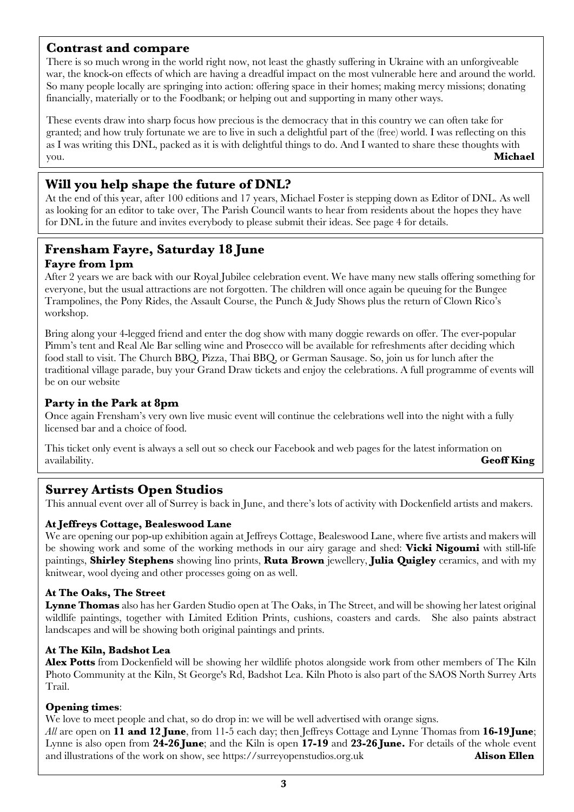#### **Contrast and compare**

There is so much wrong in the world right now, not least the ghastly suffering in Ukraine with an unforgiveable war, the knock-on effects of which are having a dreadful impact on the most vulnerable here and around the world. So many people locally are springing into action: offering space in their homes; making mercy missions; donating financially, materially or to the Foodbank; or helping out and supporting in many other ways.

These events draw into sharp focus how precious is the democracy that in this country we can often take for granted; and how truly fortunate we are to live in such a delightful part of the (free) world. I was reflecting on this as I was writing this DNL, packed as it is with delightful things to do. And I wanted to share these thoughts with you. **Michael** 

# **Will you help shape the future of DNL?**

At the end of this year, after 100 editions and 17 years, Michael Foster is stepping down as Editor of DNL. As well as looking for an editor to take over, The Parish Council wants to hear from residents about the hopes they have for DNL in the future and invites everybody to please submit their ideas. See page 4 for details.

#### **Frensham Fayre, Saturday 18 June Fayre from 1pm**

After 2 years we are back with our Royal Jubilee celebration event. We have many new stalls offering something for everyone, but the usual attractions are not forgotten. The children will once again be queuing for the Bungee Trampolines, the Pony Rides, the Assault Course, the Punch & Judy Shows plus the return of Clown Rico's workshop.

Bring along your 4-legged friend and enter the dog show with many doggie rewards on offer. The ever-popular Pimm's tent and Real Ale Bar selling wine and Prosecco will be available for refreshments after deciding which food stall to visit. The Church BBQ, Pizza, Thai BBQ, or German Sausage. So, join us for lunch after the traditional village parade, buy your Grand Draw tickets and enjoy the celebrations. A full programme of events will be on our website

#### **Party in the Park at 8pm**

Once again Frensham's very own live music event will continue the celebrations well into the night with a fully licensed bar and a choice of food.

This ticket only event is always a sell out so check our Facebook and web pages for the latest information on availability. **Geoff King**

#### **Surrey Artists Open Studios**

This annual event over all of Surrey is back in June, and there's lots of activity with Dockenfield artists and makers.

#### **At Jeffreys Cottage, Bealeswood Lane**

We are opening our pop-up exhibition again at Jeffreys Cottage, Bealeswood Lane, where five artists and makers will be showing work and some of the working methods in our airy garage and shed: **Vicki Nigoumi** with still-life paintings, **Shirley Stephens** showing lino prints, **Ruta Brown** jewellery, **Julia Quigley** ceramics, and with my knitwear, wool dyeing and other processes going on as well.

#### **At The Oaks, The Street**

**Lynne Thomas** also has her Garden Studio open at The Oaks, in The Street, and will be showing her latest original wildlife paintings, together with Limited Edition Prints, cushions, coasters and cards. She also paints abstract landscapes and will be showing both original paintings and prints.

#### **At The Kiln, Badshot Lea**

**Alex Potts** from Dockenfield will be showing her wildlife photos alongside work from other members of The Kiln Photo Community at the Kiln, St George's Rd, Badshot Lea. Kiln Photo is also part of the SAOS North Surrey Arts Trail.

#### **Opening times**:

We love to meet people and chat, so do drop in: we will be well advertised with orange signs.

*All* are open on **11 and 12 June**, from 11-5 each day; then Jeffreys Cottage and Lynne Thomas from **16-19 June**; Lynne is also open from **24-26 June**; and the Kiln is open **17-19** and **23-26 June.** For details of the whole event and illustrations of the work on show, see https://surreyopenstudios.org.uk **Alison Ellen**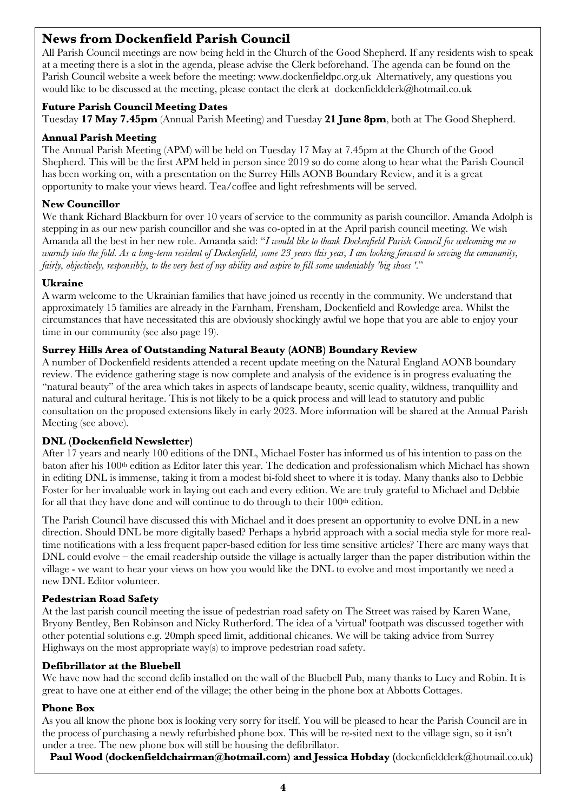# **News from Dockenfield Parish Council**

All Parish Council meetings are now being held in the Church of the Good Shepherd. If any residents wish to speak at a meeting there is a slot in the agenda, please advise the Clerk beforehand. The agenda can be found on the Parish Council website a week before the meeting: www.dockenfieldpc.org.uk Alternatively, any questions you would like to be discussed at the meeting, please contact the clerk at dockenfieldclerk@hotmail.co.uk

#### **Future Parish Council Meeting Dates**

Tuesday **17 May 7.45pm** (Annual Parish Meeting) and Tuesday **21 June 8pm**, both at The Good Shepherd.

#### **Annual Parish Meeting**

The Annual Parish Meeting (APM) will be held on Tuesday 17 May at 7.45pm at the Church of the Good Shepherd. This will be the first APM held in person since 2019 so do come along to hear what the Parish Council has been working on, with a presentation on the Surrey Hills AONB Boundary Review, and it is a great opportunity to make your views heard. Tea/coffee and light refreshments will be served.

#### **New Councillor**

We thank Richard Blackburn for over 10 years of service to the community as parish councillor. Amanda Adolph is stepping in as our new parish councillor and she was co-opted in at the April parish council meeting. We wish Amanda all the best in her new role. Amanda said: "*I would like to thank Dockenfield Parish Council for welcoming me so warmly into the fold. As a long-term resident of Dockenfield, some 23 years this year, I am looking forward to serving the community, fairly, objectively, responsibly, to the very best of my ability and aspire to fill some undeniably 'big shoes '*."

#### **Ukraine**

**Plance**<br>A warm welcome to the Ukrainian families that have joined us recently in the community. We understand that approximately 15 families are already in the Farnham, Frensham, Dockenfield and Rowledge area. Whilst the approximately 15 lamnes are aneally in the Farmann, Fremshan, Boekenheid and Rowledge area. Whilst the circumstances that have necessitated this are obviously shockingly awful we hope that you are able to enjoy your  $\frac{1}{\pi}$ time in our community (see also page 19).

#### **Surrey Hills Area of Outstanding Natural Beauty (AONB) Boundary Review**

A number of Dockenfield residents attended a recent update meeting on the Natural England AONB boundary review. The evidence gathering stage is now complete and analysis of the evidence is in progress evaluating the "natural beauty" of the area which takes in aspects of landscape beauty, scenic quality, wildness, tranquillity and natural and cultural heritage. This is not likely to be a quick process and will lead to statutory and public consultation on the proposed extensions likely in early 2023. More information will be shared at the Annual Parish Meeting (see above).

#### **DNL (Dockenfield Newsletter)**

After 17 years and nearly 100 editions of the DNL, Michael Foster has informed us of his intention to pass on the baton after his 100th edition as Editor later this year. The dedication and professionalism which Michael has shown in editing DNL is immense, taking it from a modest bi-fold sheet to where it is today. Many thanks also to Debbie Foster for her invaluable work in laying out each and every edition. We are truly grateful to Michael and Debbie for all that they have done and will continue to do through to their 100<sup>th</sup> edition.

The Parish Council have discussed this with Michael and it does present an opportunity to evolve DNL in a new direction. Should DNL be more digitally based? Perhaps a hybrid approach with a social media style for more realtime notifications with a less frequent paper-based edition for less time sensitive articles? There are many ways that DNL could evolve – the email readership outside the village is actually larger than the paper distribution within the village - we want to hear your views on how you would like the DNL to evolve and most importantly we need a new DNL Editor volunteer.

#### **Pedestrian Road Safety**

At the last parish council meeting the issue of pedestrian road safety on The Street was raised by Karen Wane, Bryony Bentley, Ben Robinson and Nicky Rutherford. The idea of a 'virtual' footpath was discussed together with other potential solutions e.g. 20mph speed limit, additional chicanes. We will be taking advice from Surrey Highways on the most appropriate way(s) to improve pedestrian road safety.

#### **Defibrillator at the Bluebell**

We have now had the second defib installed on the wall of the Bluebell Pub, many thanks to Lucy and Robin. It is great to have one at either end of the village; the other being in the phone box at Abbotts Cottages.

#### **Phone Box**

As you all know the phone box is looking very sorry for itself. You will be pleased to hear the Parish Council are in the process of purchasing a newly refurbished phone box. This will be re-sited next to the village sign, so it isn't under a tree. The new phone box will still be housing the defibrillator.

**Paul Wood (dockenfieldchairman@hotmail.com) and Jessica Hobday (**dockenfieldclerk@hotmail.co.uk**)**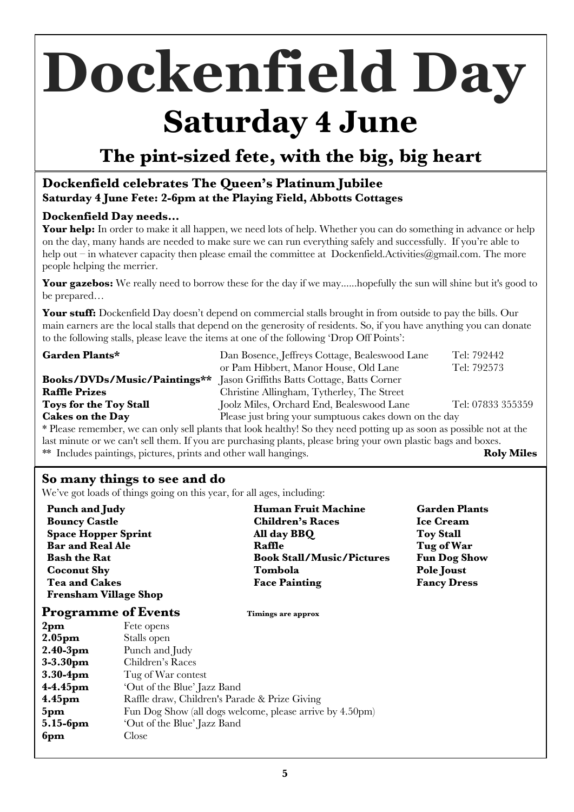# **Dockenfield Day Saturday 4 June**

# **The pint-sized fete, with the big, big heart**

#### **Dockenfield celebrates The Queen's Platinum Jubilee Saturday 4 June Fete: 2-6pm at the Playing Field, Abbotts Cottages**

#### **Dockenfield Day needs…**

**Your help:** In order to make it all happen, we need lots of help. Whether you can do something in advance or help on the day, many hands are needed to make sure we can run everything safely and successfully. If you're able to help out – in whatever capacity then please email the committee at Dockenfield.Activities@gmail.com. The more people helping the merrier.

**Your gazebos:** We really need to borrow these for the day if we may......hopefully the sun will shine but it's good to be prepared…

**Your stuff:** Dockenfield Day doesn't depend on commercial stalls brought in from outside to pay the bills. Our main earners are the local stalls that depend on the generosity of residents. So, if you have anything you can donate to the following stalls, please leave the items at one of the following 'Drop Off Points':

| <b>Garden Plants*</b>                                                                                                                  | Dan Bosence, Jeffreys Cottage, Bealeswood Lane         | Tel: 792442       |  |
|----------------------------------------------------------------------------------------------------------------------------------------|--------------------------------------------------------|-------------------|--|
|                                                                                                                                        | or Pam Hibbert, Manor House, Old Lane                  | Tel: 792573       |  |
| Books/DVDs/Music/Paintings**                                                                                                           | Jason Griffiths Batts Cottage, Batts Corner            |                   |  |
| <b>Raffle Prizes</b>                                                                                                                   | Christine Allingham, Tytherley, The Street             |                   |  |
| <b>Toys for the Toy Stall</b>                                                                                                          | Joolz Miles, Orchard End, Bealeswood Lane              | Tel: 07833 355359 |  |
| <b>Cakes on the Day</b>                                                                                                                | Please just bring your sumptuous cakes down on the day |                   |  |
| $*$ Place remains we can only sell plants that look booting $\mathcal{S}_{\alpha}$ they need patting up as seen as pessible not at the |                                                        |                   |  |

\* Please remember, we can only sell plants that look healthy! So they need potting up as soon as possible not at the last minute or we can't sell them. If you are purchasing plants, please bring your own plastic bags and boxes. \*\* Includes paintings, pictures, prints and other wall hangings. **Roly Miles**

# **So many things to see and do**

We've got loads of things going on this year, for all ages, including:

| Punch and Judy<br><b>Bouncy Castle</b><br><b>Space Hopper Sprint</b><br><b>Bar and Real Ale</b><br><b>Bash the Rat</b><br><b>Coconut Shy</b><br><b>Tea and Cakes</b><br><b>Frensham Village Shop</b> |                                                                                                                                                                                                      | <b>Human Fruit Machine</b><br><b>Children's Races</b><br>All day BBQ<br>Raffle<br><b>Book Stall/Music/Pictures</b><br>Tombola<br><b>Face Painting</b> | <b>Garden Plants</b><br><b>Ice Cream</b><br><b>Toy Stall</b><br>Tug of War<br><b>Fun Dog Show</b><br><b>Pole Joust</b><br><b>Fancy Dress</b> |
|------------------------------------------------------------------------------------------------------------------------------------------------------------------------------------------------------|------------------------------------------------------------------------------------------------------------------------------------------------------------------------------------------------------|-------------------------------------------------------------------------------------------------------------------------------------------------------|----------------------------------------------------------------------------------------------------------------------------------------------|
| <b>Programme of Events</b><br>2 <sub>pm</sub><br>2.05 <sub>pm</sub><br>$2.40-3pm$<br>$3-3.30$ pm<br>$3.30 - 4pm$<br>$4-4.45$ pm<br>4.45 <sub>pm</sub><br>5 <sub>pm</sub><br>$5.15-6pm$               | Fete opens<br>Stalls open<br>Punch and Judy<br>Children's Races<br>Tug of War contest<br>'Out of the Blue' Jazz Band<br>Raffle draw, Children's Parade & Prize Giving<br>'Out of the Blue' Jazz Band | <b>Timings are approx</b><br>Fun Dog Show (all dogs welcome, please arrive by 4.50pm)                                                                 |                                                                                                                                              |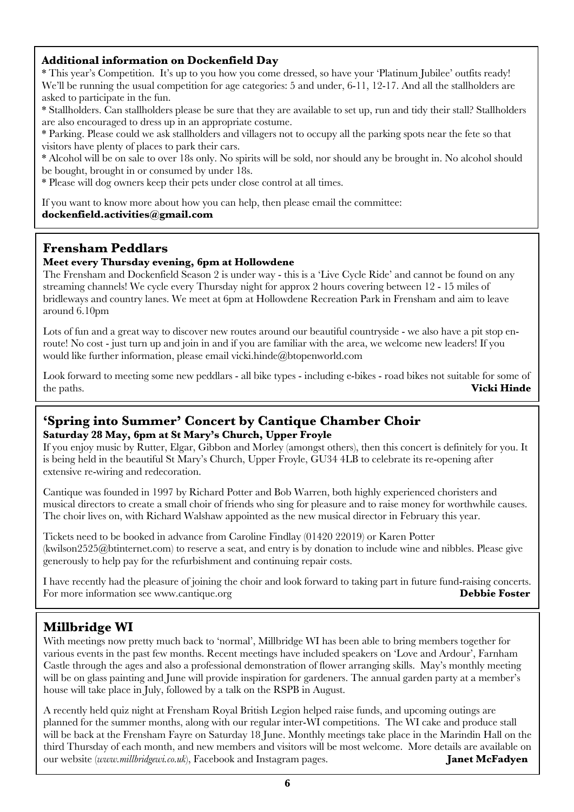#### **Additional information on Dockenfield Day**

\* This year's Competition. It's up to you how you come dressed, so have your 'Platinum Jubilee' outfits ready! We'll be running the usual competition for age categories: 5 and under, 6-11, 12-17. And all the stallholders are asked to participate in the fun.

\* Stallholders. Can stallholders please be sure that they are available to set up, run and tidy their stall? Stallholders are also encouraged to dress up in an appropriate costume.

\* Parking. Please could we ask stallholders and villagers not to occupy all the parking spots near the fete so that visitors have plenty of places to park their cars.

\* Alcohol will be on sale to over 18s only. No spirits will be sold, nor should any be brought in. No alcohol should be bought, brought in or consumed by under 18s.

\* Please will dog owners keep their pets under close control at all times.

If you want to know more about how you can help, then please email the committee:

**dockenfield.activities@gmail.com**

# **Frensham Peddlars**

#### **Meet every Thursday evening, 6pm at Hollowdene**

The Frensham and Dockenfield Season 2 is under way - this is a 'Live Cycle Ride' and cannot be found on any streaming channels! We cycle every Thursday night for approx 2 hours covering between 12 - 15 miles of bridleways and country lanes. We meet at 6pm at Hollowdene Recreation Park in Frensham and aim to leave around 6.10pm

Lots of fun and a great way to discover new routes around our beautiful countryside - we also have a pit stop enroute! No cost - just turn up and join in and if you are familiar with the area, we welcome new leaders! If you would like further information, please email vicki.hinde@btopenworld.com

Look forward to meeting some new peddlars - all bike types - including e-bikes - road bikes not suitable for some of the paths. **Vicki Hinde**

#### **'Spring into Summer' Concert by Cantique Chamber Choir Saturday 28 May, 6pm at St Mary's Church, Upper Froyle**

If you enjoy music by Rutter, Elgar, Gibbon and Morley (amongst others), then this concert is definitely for you. It is being held in the beautiful St Mary's Church, Upper Froyle, GU34 4LB to celebrate its re-opening after extensive re-wiring and redecoration.

Cantique was founded in 1997 by Richard Potter and Bob Warren, both highly experienced choristers and musical directors to create a small choir of friends who sing for pleasure and to raise money for worthwhile causes. The choir lives on, with Richard Walshaw appointed as the new musical director in February this year.

Tickets need to be booked in advance from Caroline Findlay (01420 22019) or Karen Potter (kwilson2525@btinternet.com) to reserve a seat, and entry is by donation to include wine and nibbles. Please give generously to help pay for the refurbishment and continuing repair costs.

I have recently had the pleasure of joining the choir and look forward to taking part in future fund-raising concerts. For more information see www.cantique.org **Debbie Foster**

# **Millbridge WI**

With meetings now pretty much back to 'normal', Millbridge WI has been able to bring members together for various events in the past few months. Recent meetings have included speakers on 'Love and Ardour', Farnham Castle through the ages and also a professional demonstration of flower arranging skills. May's monthly meeting will be on glass painting and June will provide inspiration for gardeners. The annual garden party at a member's house will take place in July, followed by a talk on the RSPB in August.

A recently held quiz night at Frensham Royal British Legion helped raise funds, and upcoming outings are planned for the summer months, along with our regular inter-WI competitions. The WI cake and produce stall will be back at the Frensham Fayre on Saturday 18 June. Monthly meetings take place in the Marindin Hall on the third Thursday of each month, and new members and visitors will be most welcome. More details are available on our website (*www.millbridgewi.co.uk*), Facebook and Instagram pages. **Janet McFadyen**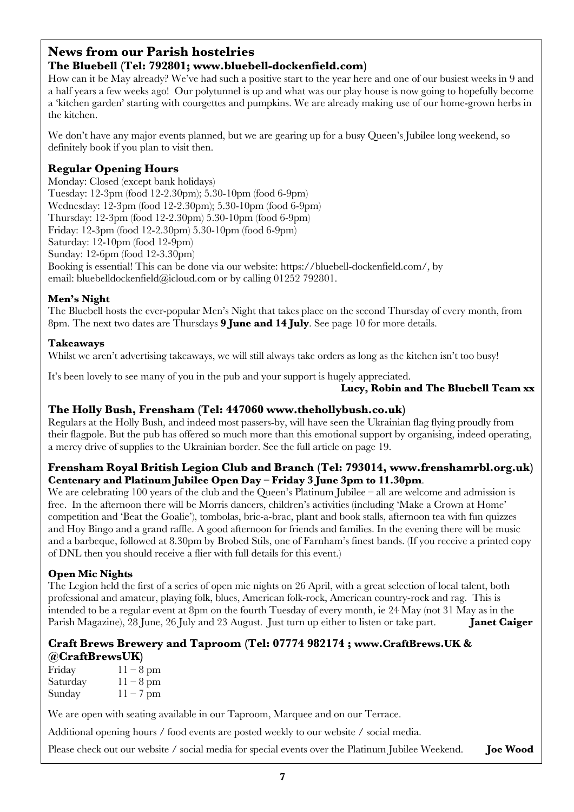# **News from our Parish hostelries**

**The Bluebell (Tel: 792801; www.bluebell-dockenfield.com)** How can it be May already? We've had such a positive start to the year here and one of our busiest weeks in 9 and a half years a few weeks ago! Our polytunnel is up and what was our play house is now going to hopefully become a 'kitchen garden' starting with courgettes and pumpkins. We are already making use of our home-grown herbs in the kitchen.

We don't have any major events planned, but we are gearing up for a busy Queen's Jubilee long weekend, so definitely book if you plan to visit then.

#### **Regular Opening Hours**

Monday: Closed (except bank holidays) Tuesday: 12-3pm (food 12-2.30pm); 5.30-10pm (food 6-9pm) Wednesday: 12-3pm (food 12-2.30pm); 5.30-10pm (food 6-9pm) Thursday: 12-3pm (food 12-2.30pm) 5.30-10pm (food 6-9pm) Friday: 12-3pm (food 12-2.30pm) 5.30-10pm (food 6-9pm) Saturday: 12-10pm (food 12-9pm) Sunday: 12-6pm (food 12-3.30pm) Booking is essential! This can be done via our website: https://bluebell-dockenfield.com/, by email: bluebelldockenfield@icloud.com or by calling 01252 792801.

#### **Men's Night**

The Bluebell hosts the ever-popular Men's Night that takes place on the second Thursday of every month, from 8pm. The next two dates are Thursdays **9 June and 14 July**. See page 10 for more details.

#### **Takeaways**

Whilst we aren't advertising takeaways, we will still always take orders as long as the kitchen isn't too busy!

It's been lovely to see many of you in the pub and your support is hugely appreciated.

#### **Lucy, Robin and The Bluebell Team xx**

#### **The Holly Bush, Frensham (Tel: 447060 www.thehollybush.co.uk)**

Regulars at the Holly Bush, and indeed most passers-by, will have seen the Ukrainian flag flying proudly from their flagpole. But the pub has offered so much more than this emotional support by organising, indeed operating, a mercy drive of supplies to the Ukrainian border. See the full article on page 19.

#### **Frensham Royal British Legion Club and Branch (Tel: 793014, www.frenshamrbl.org.uk) Centenary and Platinum Jubilee Open Day – Friday 3 June 3pm to 11.30pm**.

We are celebrating 100 years of the club and the Queen's Platinum Jubilee – all are welcome and admission is free. In the afternoon there will be Morris dancers, children's activities (including 'Make a Crown at Home' competition and 'Beat the Goalie'), tombolas, bric-a-brac, plant and book stalls, afternoon tea with fun quizzes and Hoy Bingo and a grand raffle. A good afternoon for friends and families. In the evening there will be music and a barbeque, followed at 8.30pm by Brobed Stils, one of Farnham's finest bands. (If you receive a printed copy of DNL then you should receive a flier with full details for this event.)

#### **Open Mic Nights**

The Legion held the first of a series of open mic nights on 26 April, with a great selection of local talent, both professional and amateur, playing folk, blues, American folk-rock, American country-rock and rag. This is intended to be a regular event at 8pm on the fourth Tuesday of every month, ie 24 May (not 31 May as in the Parish Magazine), 28 June, 26 July and 23 August. Just turn up either to listen or take part. **Janet Caiger** 

#### **Craft Brews Brewery and Taproom (Tel: 07774 982174 ; www.CraftBrews.UK & @CraftBrewsUK)**

Friday  $11 - 8$  pm Saturday  $11 - 8$  pm Sunday  $11 - 7$  pm

We are open with seating available in our Taproom, Marquee and on our Terrace.

Additional opening hours / food events are posted weekly to our website / social media.

Please check out our website / social media for special events over the Platinum Jubilee Weekend. **Joe Wood**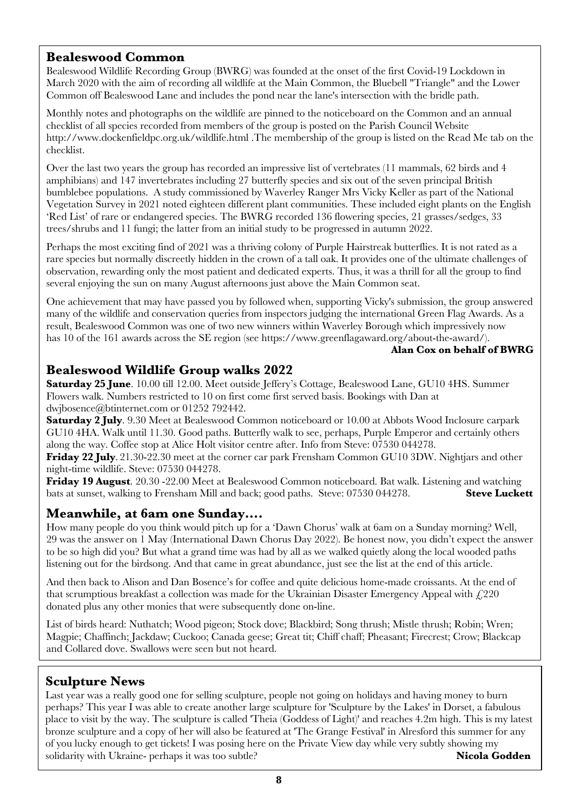#### **Bealeswood Common**

Bealeswood Wildlife Recording Group (BWRG) was founded at the onset of the first Covid-19 Lockdown in March 2020 with the aim of recording all wildlife at the Main Common, the Bluebell "Triangle" and the Lower Common off Bealeswood Lane and includes the pond near the lane's intersection with the bridle path.

Monthly notes and photographs on the wildlife are pinned to the noticeboard on the Common and an annual checklist of all species recorded from members of the group is posted on the Parish Council Website http://www.dockenfieldpc.org.uk/wildlife.html .The membership of the group is listed on the Read Me tab on the checklist.

Over the last two years the group has recorded an impressive list of vertebrates (11 mammals, 62 birds and 4 amphibians) and 147 invertebrates including 27 butterfly species and six out of the seven principal British bumblebee populations. A study commissioned by Waverley Ranger Mrs Vicky Keller as part of the National Vegetation Survey in 2021 noted eighteen different plant communities. These included eight plants on the English 'Red List' of rare or endangered species. The BWRG recorded 136 flowering species, 21 grasses/sedges, 33 trees/shrubs and 11 fungi; the latter from an initial study to be progressed in autumn 2022.

Perhaps the most exciting find of 2021 was a thriving colony of Purple Hairstreak butterflies. It is not rated as a rare species but normally discreetly hidden in the crown of a tall oak. It provides one of the ultimate challenges of observation, rewarding only the most patient and dedicated experts. Thus, it was a thrill for all the group to find several enjoying the sun on many August afternoons just above the Main Common seat.

One achievement that may have passed you by followed when, supporting Vicky's submission, the group answered many of the wildlife and conservation queries from inspectors judging the international Green Flag Awards. As a result, Bealeswood Common was one of two new winners within Waverley Borough which impressively now has 10 of the 161 awards across the SE region (see https://www.greenflagaward.org/about-the-award/).

#### **Alan Cox on behalf of BWRG**

# **Bealeswood Wildlife Group walks 2022**

**Saturday 25 June**. 10.00 till 12.00. Meet outside Jeffery's Cottage, Bealeswood Lane, GU10 4HS. Summer Flowers walk. Numbers restricted to 10 on first come first served basis. Bookings with Dan at dwjbosence@btinternet.com or 01252 792442.

**Saturday 2 July**. 9.30 Meet at Bealeswood Common noticeboard or 10.00 at Abbots Wood Inclosure carpark GU10 4HA. Walk until 11.30. Good paths. Butterfly walk to see, perhaps, Purple Emperor and certainly others along the way. Coffee stop at Alice Holt visitor centre after. Info from Steve: 07530 044278.

**Friday 22 July**. 21.30-22.30 meet at the corner car park Frensham Common GU10 3DW. Nightjars and other night-time wildlife. Steve: 07530 044278.

**Friday 19 August**. 20.30 -22.00 Meet at Bealeswood Common noticeboard. Bat walk. Listening and watching bats at sunset, walking to Frensham Mill and back; good paths. Steve: 07530 044278. **Steve Luckett**

# **Meanwhile, at 6am one Sunday….**

How many people do you think would pitch up for a 'Dawn Chorus' walk at 6am on a Sunday morning? Well, 29 was the answer on 1 May (International Dawn Chorus Day 2022). Be honest now, you didn't expect the answer to be so high did you? But what a grand time was had by all as we walked quietly along the local wooded paths listening out for the birdsong. And that came in great abundance, just see the list at the end of this article.

And then back to Alison and Dan Bosence's for coffee and quite delicious home-made croissants. At the end of that scrumptious breakfast a collection was made for the Ukrainian Disaster Emergency Appeal with  $\angle$ 220 donated plus any other monies that were subsequently done on-line.

List of birds heard: Nuthatch; Wood pigeon; Stock dove; Blackbird; Song thrush; Mistle thrush; Robin; Wren; Magpie; Chaffinch; Jackdaw; Cuckoo; Canada geese; Great tit; Chiff chaff; Pheasant; Firecrest; Crow; Blackcap and Collared dove. Swallows were seen but not heard.

# **Sculpture News**

Last year was a really good one for selling sculpture, people not going on holidays and having money to burn perhaps? This year I was able to create another large sculpture for 'Sculpture by the Lakes' in Dorset, a fabulous place to visit by the way. The sculpture is called 'Theia (Goddess of Light)' and reaches 4.2m high. This is my latest bronze sculpture and a copy of her will also be featured at 'The Grange Festival' in Alresford this summer for any of you lucky enough to get tickets! I was posing here on the Private View day while very subtly showing my solidarity with Ukraine- perhaps it was too subtle? **Nicola Godden**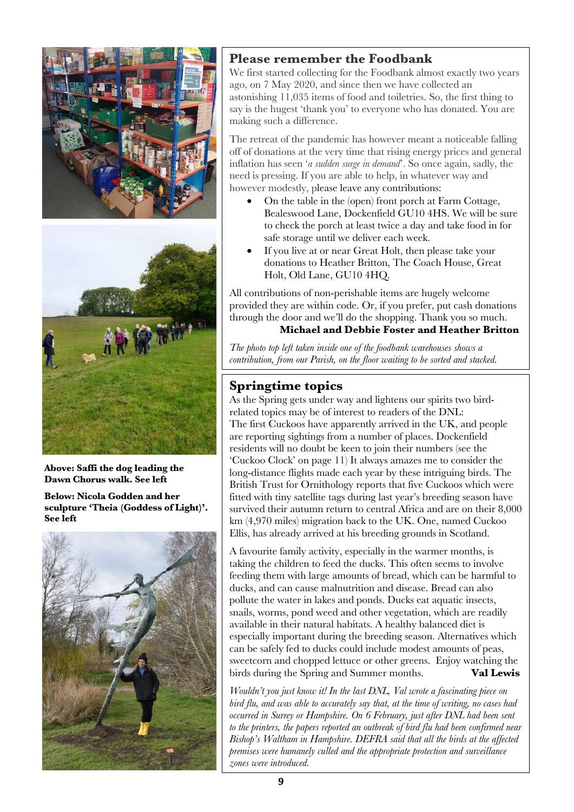

**Above: Saffi the dog leading the Dawn Chorus walk. See left**

**Below: Nicola Godden and her sculpture 'Theia (Goddess of Light)'. See left**



# **Please remember the Foodbank**

We first started collecting for the Foodbank almost exactly two years ago, on 7 May 2020, and since then we have collected an astonishing 11,035 items of food and toiletries. So, the first thing to say is the hugest 'thank you' to everyone who has donated. You are making such a difference.

The retreat of the pandemic has however meant a noticeable falling off of donations at the very time that rising energy prices and general inflation has seen '*a sudden surge in demand*'. So once again, sadly, the need is pressing. If you are able to help, in whatever way and however modestly, please leave any contributions:

- On the table in the (open) front porch at Farm Cottage, Bealeswood Lane, Dockenfield GU10 4HS. We will be sure to check the porch at least twice a day and take food in for safe storage until we deliver each week.
- If you live at or near Great Holt, then please take your donations to Heather Britton, The Coach House, Great Holt, Old Lane, GU10 4HQ.

All contributions of non-perishable items are hugely welcome provided they are within code. Or, if you prefer, put cash donations through the door and we'll do the shopping. Thank you so much.

#### **Michael and Debbie Foster and Heather Britton**

*The photo top left taken inside one of the foodbank warehouses shows a contribution, from our Parish, on the floor waiting to be sorted and stacked.*

# **Springtime topics**

As the Spring gets under way and lightens our spirits two birdrelated topics may be of interest to readers of the DNL: The first Cuckoos have apparently arrived in the UK, and people are reporting sightings from a number of places. Dockenfield residents will no doubt be keen to join their numbers (see the 'Cuckoo Clock' on page 11) It always amazes me to consider the long-distance flights made each year by these intriguing birds. The British Trust for Ornithology reports that five Cuckoos which were fitted with tiny satellite tags during last year's breeding season have survived their autumn return to central Africa and are on their 8,000 km (4,970 miles) migration back to the UK. One, named Cuckoo Ellis, has already arrived at his breeding grounds in Scotland.

A favourite family activity, especially in the warmer months, is taking the children to feed the ducks. This often seems to involve feeding them with large amounts of bread, which can be harmful to ducks, and can cause malnutrition and disease. Bread can also pollute the water in lakes and ponds. Ducks eat aquatic insects, snails, worms, pond weed and other vegetation, which are readily available in their natural habitats. A healthy balanced diet is especially important during the breeding season. Alternatives which can be safely fed to ducks could include modest amounts of peas, sweetcorn and chopped lettuce or other greens. Enjoy watching the birds during the Spring and Summer months. **Val Lewis**

*Wouldn't you just know it! In the last DNL, Val wrote a fascinating piece on bird flu, and was able to accurately say that, at the time of writing, no cases had occurred in Surrey or Hampshire. On 6 February, just after DNL had been sent to the printers, the papers reported an outbreak of bird flu had been confirmed near Bishop's Waltham in Hampshire. DEFRA said that all the birds at the affected premises were humanely culled and the appropriate protection and surveillance zones were introduced.*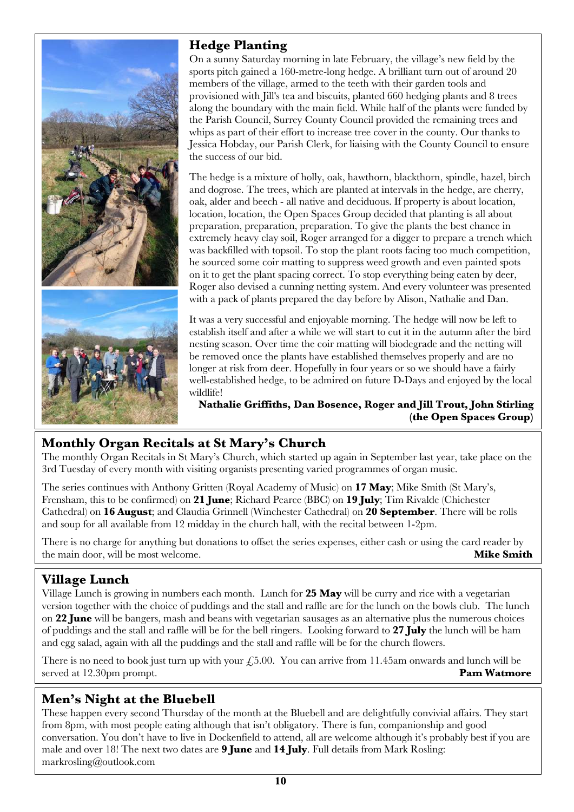

# **Hedge Planting**

On a sunny Saturday morning in late February, the village's new field by the sports pitch gained a 160-metre-long hedge. A brilliant turn out of around 20 members of the village, armed to the teeth with their garden tools and provisioned with Jill's tea and biscuits, planted 660 hedging plants and 8 trees along the boundary with the main field. While half of the plants were funded by the Parish Council, Surrey County Council provided the remaining trees and whips as part of their effort to increase tree cover in the county. Our thanks to Jessica Hobday, our Parish Clerk, for liaising with the County Council to ensure the success of our bid.

The hedge is a mixture of holly, oak, hawthorn, blackthorn, spindle, hazel, birch and dogrose. The trees, which are planted at intervals in the hedge, are cherry, oak, alder and beech - all native and deciduous. If property is about location, location, location, the Open Spaces Group decided that planting is all about preparation, preparation, preparation. To give the plants the best chance in extremely heavy clay soil, Roger arranged for a digger to prepare a trench which was backfilled with topsoil. To stop the plant roots facing too much competition, he sourced some coir matting to suppress weed growth and even painted spots on it to get the plant spacing correct. To stop everything being eaten by deer, Roger also devised a cunning netting system. And every volunteer was presented with a pack of plants prepared the day before by Alison, Nathalie and Dan.

It was a very successful and enjoyable morning. The hedge will now be left to establish itself and after a while we will start to cut it in the autumn after the bird nesting season. Over time the coir matting will biodegrade and the netting will be removed once the plants have established themselves properly and are no longer at risk from deer. Hopefully in four years or so we should have a fairly well-established hedge, to be admired on future D-Days and enjoyed by the local wildlife!

**Nathalie Griffiths, Dan Bosence, Roger and Jill Trout, John Stirling (the Open Spaces Group)**

# **Monthly Organ Recitals at St Mary's Church**

The monthly Organ Recitals in St Mary's Church, which started up again in September last year, take place on the 3rd Tuesday of every month with visiting organists presenting varied programmes of organ music.

The series continues with Anthony Gritten (Royal Academy of Music) on **17 May**; Mike Smith (St Mary's, Frensham, this to be confirmed) on **21 June**; Richard Pearce (BBC) on **19 July**; Tim Rivalde (Chichester Cathedral) on **16 August**; and Claudia Grinnell (Winchester Cathedral) on **20 September**. There will be rolls and soup for all available from 12 midday in the church hall, with the recital between 1-2pm.

There is no charge for anything but donations to offset the series expenses, either cash or using the card reader by the main door, will be most welcome. **Mike Smith**

# **Village Lunch**

Village Lunch is growing in numbers each month. Lunch for **25 May** will be curry and rice with a vegetarian version together with the choice of puddings and the stall and raffle are for the lunch on the bowls club. The lunch on **22 June** will be bangers, mash and beans with vegetarian sausages as an alternative plus the numerous choices of puddings and the stall and raffle will be for the bell ringers. Looking forward to **27 July** the lunch will be ham and egg salad, again with all the puddings and the stall and raffle will be for the church flowers.

There is no need to book just turn up with your  $\ell$ , 5.00. You can arrive from 11.45am onwards and lunch will be served at 12.30pm prompt. **Pam Watmore**

# **Men's Night at the Bluebell**

These happen every second Thursday of the month at the Bluebell and are delightfully convivial affairs. They start from 8pm, with most people eating although that isn't obligatory. There is fun, companionship and good conversation. You don't have to live in Dockenfield to attend, all are welcome although it's probably best if you are male and over 18! The next two dates are **9 June** and **14 July**. Full details from Mark Rosling: markrosling@outlook.com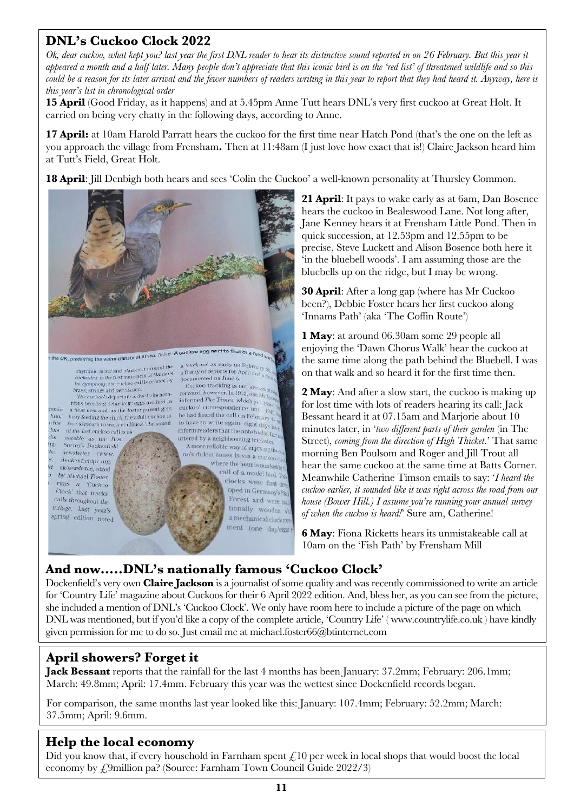# **DNL's Cuckoo Clock 2022**

*Ok, dear cuckoo, what kept you? last year the first DNL reader to hear its distinctive sound reported in on 26 February. But this year it appeared a month and a half later. Many people don't appreciate that this iconic bird is on the 'red list' of threatened wildlife and so this could be a reason for its later arrival and the fewer numbers of readers writing in this year to report that they had heard it. Anyway, here is this year's list in chronological order*

**15 April** (Good Friday, as it happens) and at 5.45pm Anne Tutt hears DNL's very first cuckoo at Great Holt. It carried on being very chatty in the following days, according to Anne.

**17 April:** at 10am Harold Parratt hears the cuckoo for the first time near Hatch Pond (that's the one on the left as you approach the village from Frensham**.** Then at 11:48am (I just love how exact that is!) Claire Jackson heard him at Tutt's Field, Great Holt.

**18 April**: Jill Denbigh both hears and sees 'Colin the Cuckoo' a well-known personality at Thursley Common.



the UK, preferring the warm climate of Africa. *Below*: A cuckoo egg next to that of a r<sub>eq</sub>

preferring the warm climate of Africa.  $I^{k|DW}$  A correction and planted it around the a curk oo' as early as February 2 or<br>chestra: in the first movement of Maliler's a furtry of reports for April and  $a_{11}$ <br>and plante

Drass, strings and percussion.<br>The encloors departure is due to its noto-<br>forward, however. In 1913, one  $M_1^{\text{L}}$  by<br>Thus beneding behaviour: eggs are laid in informed The Times, which publishes<br>rious breeding behaviou a host nest and, as the foster parent gets famin a most nest and, as the most parem  $\frac{1}{2}$  he had heard the call on February 4. him. This free to return to warmer climes. The sound to have to write again, eight days  $\frac{1}{\text{abs}}$ has of the last cuckoo call is as

dis- notable as the first. Int- Surrey's Dockenfield newsletter (www. dockenfieldpc.org. d uk/newsletter), edited by Michael Foster, runs a Cuckoo Clock' that tracks calls throughout the village. Last year's spring edition noted

forward, however. In 1913, one Mr Lyde cuckoo' correspondence um inform readers that the note had in fact uttered by a neighbouring trickster.

A more reliable way of enjoying theory oo's dulcet tones is via a cuckoo  $v_0$ where the hour is marked by call of a model bird. The clocks were first de oped in Germany's Bla Forest and were tral tionally wooden wil a mechanical clockno ment (one day/eight-

**21 April**: It pays to wake early as at 6am, Dan Bosence hears the cuckoo in Bealeswood Lane. Not long after, Jane Kenney hears it at Frensham Little Pond. Then in quick succession, at 12.53pm and 12.55pm to be precise, Steve Luckett and Alison Bosence both here it 'in the bluebell woods'. I am assuming those are the bluebells up on the ridge, but I may be wrong.

**30 April**: After a long gap (where has Mr Cuckoo been?), Debbie Foster hears her first cuckoo along 'Innams Path' (aka 'The Coffin Route')

**1 May**: at around 06.30am some 29 people all enjoying the 'Dawn Chorus Walk' hear the cuckoo at the same time along the path behind the Bluebell. I was on that walk and so heard it for the first time then.

**2 May**: And after a slow start, the cuckoo is making up for lost time with lots of readers hearing its call: Jack Bessant heard it at 07.15am and Marjorie about 10 minutes later, in '*two different parts of their garden* (in The Street), *coming from the direction of High Thicket*.' That same morning Ben Poulsom and Roger and Jill Trout all hear the same cuckoo at the same time at Batts Corner. Meanwhile Catherine Timson emails to say: '*I heard the cuckoo earlier, it sounded like it was right across the road from our house (Bower Hill.) I assume you're running your annual survey of when the cuckoo is heard!*' Sure am, Catherine!

**6 May**: Fiona Ricketts hears its unmistakeable call at 10am on the 'Fish Path' by Frensham Mill

# **And now…..DNL's nationally famous 'Cuckoo Clock'**

Dockenfield's very own **Claire Jackson** is a journalist of some quality and was recently commissioned to write an article for 'Country Life' magazine about Cuckoos for their 6 April 2022 edition. And, bless her, as you can see from the picture, she included a mention of DNL's 'Cuckoo Clock'. We only have room here to include a picture of the page on which DNL was mentioned, but if you'd like a copy of the complete article, 'Country Life' ( www.countrylife.co.uk ) have kindly given permission for me to do so. Just email me at michael.foster66@btinternet.com

# **April showers? Forget it**

**Jack Bessant** reports that the rainfall for the last 4 months has been January: 37.2mm; February: 206.1mm; March: 49.8mm; April: 17.4mm. February this year was the wettest since Dockenfield records began.

For comparison, the same months last year looked like this: January: 107.4mm; February: 52.2mm; March: 37.5mm; April: 9.6mm.

# **Help the local economy**

Did you know that, if every household in Farnham spent  $f<sub>k</sub>$  10 per week in local shops that would boost the local economy by £9million pa? (Source: Farnham Town Council Guide 2022/3)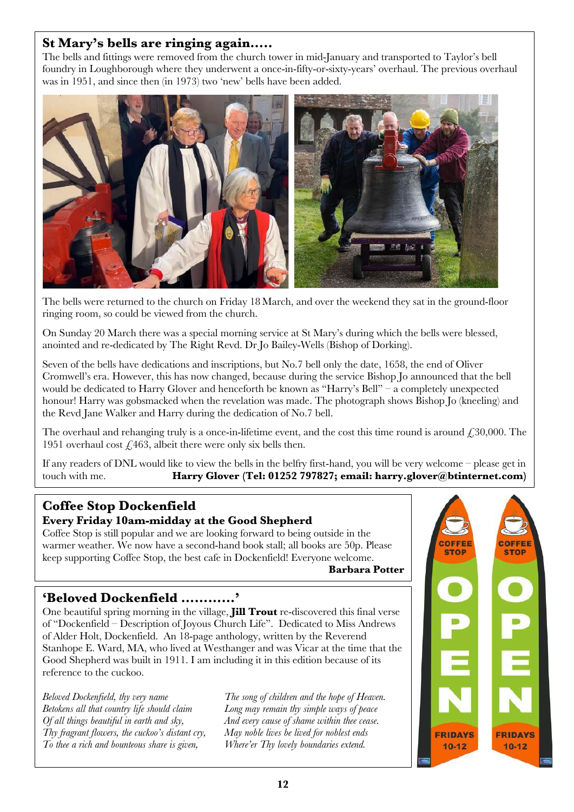# **St Mary's bells are ringing again…..**

The bells and fittings were removed from the church tower in mid-January and transported to Taylor's bell foundry in Loughborough where they underwent a once-in-fifty-or-sixty-years' overhaul. The previous overhaul was in 1951, and since then (in 1973) two 'new' bells have been added.



The bells were returned to the church on Friday 18 March, and over the weekend they sat in the ground-floor ringing room, so could be viewed from the church.

On Sunday 20 March there was a special morning service at St Mary's during which the bells were blessed, anointed and re-dedicated by The Right Revd. Dr Jo Bailey-Wells (Bishop of Dorking).

Seven of the bells have dedications and inscriptions, but No.7 bell only the date, 1658, the end of Oliver Cromwell's era. However, this has now changed, because during the service Bishop Jo announced that the bell would be dedicated to Harry Glover and henceforth be known as "Harry's Bell" – a completely unexpected honour! Harry was gobsmacked when the revelation was made. The photograph shows Bishop Jo (kneeling) and the Revd Jane Walker and Harry during the dedication of No.7 bell.

The overhaul and rehanging truly is a once-in-lifetime event, and the cost this time round is around  $\epsilon$ , 30,000. The 1951 overhaul cost  $\angle$  463, albeit there were only six bells then.

If any readers of DNL would like to view the bells in the belfry first-hand, you will be very welcome – please get in touch with me. **Harry Glover (Tel: 01252 797827; email: harry.glover@btinternet.com)**

# **Coffee Stop Dockenfield Every Friday 10am-midday at the Good Shepherd**

Coffee Stop is still popular and we are looking forward to being outside in the warmer weather. We now have a second-hand book stall; all books are 50p. Please keep supporting Coffee Stop, the best cafe in Dockenfield! Everyone welcome.

**Barbara Potter**

# **'Beloved Dockenfield …………'**

One beautiful spring morning in the village, **Jill Trout** re-discovered this final verse of "Dockenfield – Description of Joyous Church Life". Dedicated to Miss Andrews of Alder Holt, Dockenfield. An 18-page anthology, written by the Reverend Stanhope E. Ward, MA, who lived at Westhanger and was Vicar at the time that the Good Shepherd was built in 1911. I am including it in this edition because of its reference to the cuckoo.

*Beloved Dockenfield, thy very name The song of children and the hope of Heaven. Betokens all that country life should claim Long may remain thy simple ways of peace Of all things beautiful in earth and sky, And every cause of shame within thee cease. Thy fragrant flowers, the cuckoo's distant cry, May noble lives be lived for noblest ends To thee a rich and bounteous share is given, Where'er Thy lovely boundaries extend.*

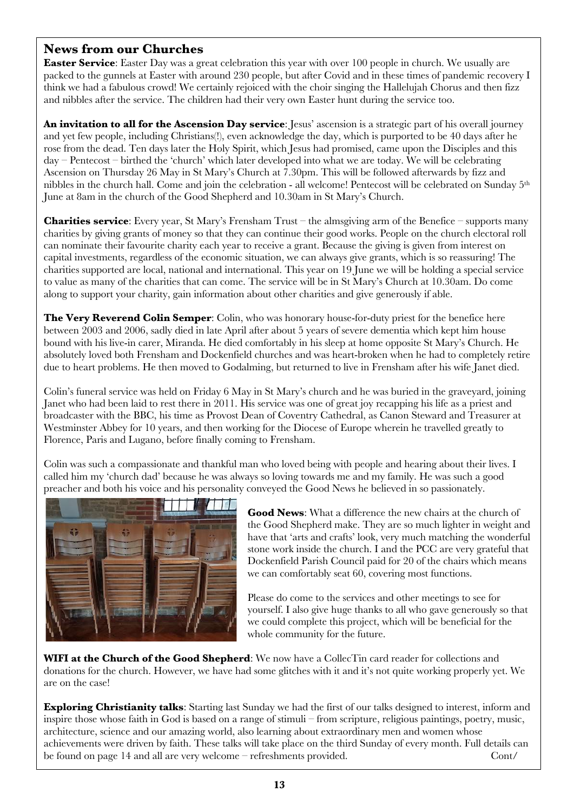# **News from our Churches**

**Easter Service**: Easter Day was a great celebration this year with over 100 people in church. We usually are packed to the gunnels at Easter with around 230 people, but after Covid and in these times of pandemic recovery I think we had a fabulous crowd! We certainly rejoiced with the choir singing the Hallelujah Chorus and then fizz and nibbles after the service. The children had their very own Easter hunt during the service too.

**An invitation to all for the Ascension Day service**: Jesus' ascension is a strategic part of his overall journey and yet few people, including Christians(!), even acknowledge the day, which is purported to be 40 days after he rose from the dead. Ten days later the Holy Spirit, which Jesus had promised, came upon the Disciples and this day – Pentecost – birthed the 'church' which later developed into what we are today. We will be celebrating Ascension on Thursday 26 May in St Mary's Church at 7.30pm. This will be followed afterwards by fizz and nibbles in the church hall. Come and join the celebration - all welcome! Pentecost will be celebrated on Sunday 5th June at 8am in the church of the Good Shepherd and 10.30am in St Mary's Church.

**Charities service**: Every year, St Mary's Frensham Trust – the almsgiving arm of the Benefice – supports many charities by giving grants of money so that they can continue their good works. People on the church electoral roll can nominate their favourite charity each year to receive a grant. Because the giving is given from interest on capital investments, regardless of the economic situation, we can always give grants, which is so reassuring! The charities supported are local, national and international. This year on 19 June we will be holding a special service to value as many of the charities that can come. The service will be in St Mary's Church at 10.30am. Do come along to support your charity, gain information about other charities and give generously if able.

**The Very Reverend Colin Semper**: Colin, who was honorary house-for-duty priest for the benefice here between 2003 and 2006, sadly died in late April after about 5 years of severe dementia which kept him house bound with his live-in carer, Miranda. He died comfortably in his sleep at home opposite St Mary's Church. He absolutely loved both Frensham and Dockenfield churches and was heart-broken when he had to completely retire due to heart problems. He then moved to Godalming, but returned to live in Frensham after his wife Janet died.

Colin's funeral service was held on Friday 6 May in St Mary's church and he was buried in the graveyard, joining Janet who had been laid to rest there in 2011. His service was one of great joy recapping his life as a priest and broadcaster with the BBC, his time as Provost Dean of Coventry Cathedral, as Canon Steward and Treasurer at Westminster Abbey for 10 years, and then working for the Diocese of Europe wherein he travelled greatly to Florence, Paris and Lugano, before finally coming to Frensham.

Colin was such a compassionate and thankful man who loved being with people and hearing about their lives. I called him my 'church dad' because he was always so loving towards me and my family. He was such a good preacher and both his voice and his personality conveyed the Good News he believed in so passionately.



**Good News**: What a difference the new chairs at the church of the Good Shepherd make. They are so much lighter in weight and have that 'arts and crafts' look, very much matching the wonderful stone work inside the church. I and the PCC are very grateful that Dockenfield Parish Council paid for 20 of the chairs which means we can comfortably seat 60, covering most functions.

Please do come to the services and other meetings to see for yourself. I also give huge thanks to all who gave generously so that we could complete this project, which will be beneficial for the whole community for the future.

**WIFI at the Church of the Good Shepherd**: We now have a CollecTin card reader for collections and donations for the church. However, we have had some glitches with it and it's not quite working properly yet. We are on the case!

**Exploring Christianity talks**: Starting last Sunday we had the first of our talks designed to interest, inform and inspire those whose faith in God is based on a range of stimuli – from scripture, religious paintings, poetry, music, architecture, science and our amazing world, also learning about extraordinary men and women whose achievements were driven by faith. These talks will take place on the third Sunday of every month. Full details can be found on page 14 and all are very welcome – refreshments provided. Cont/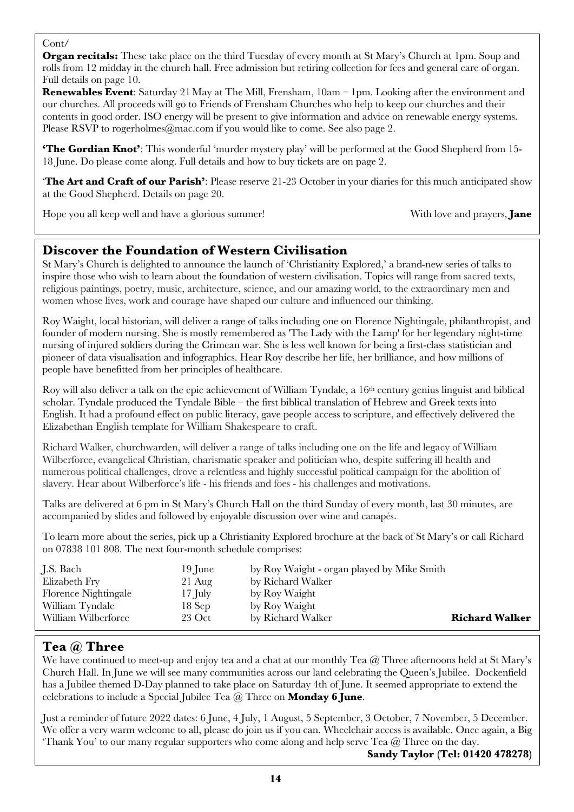#### Cont/

**Organ recitals:** These take place on the third Tuesday of every month at St Mary's Church at 1pm. Soup and rolls from 12 midday in the church hall. Free admission but retiring collection for fees and general care of organ. Full details on page 10.

**Renewables Event**: Saturday 21 May at The Mill, Frensham, 10am – 1pm. Looking after the environment and our churches. All proceeds will go to Friends of Frensham Churches who help to keep our churches and their contents in good order. ISO energy will be present to give information and advice on renewable energy systems. Please RSVP to rogerholmes@mac.com if you would like to come. See also page 2.

**'The Gordian Knot'**: This wonderful 'murder mystery play' will be performed at the Good Shepherd from 15- 18 June. Do please come along. Full details and how to buy tickets are on page 2.

'**The Art and Craft of our Parish'**: Please reserve 21-23 October in your diaries for this much anticipated show at the Good Shepherd. Details on page 20.

Hope you all keep well and have a glorious summer! With love and prayers, **Jane**

# **Discover the Foundation of Western Civilisation**

St Mary's Church is delighted to announce the launch of 'Christianity Explored,' a brand-new series of talks to inspire those who wish to learn about the foundation of western civilisation. Topics will range from sacred texts, religious paintings, poetry, music, architecture, science, and our amazing world, to the extraordinary men and women whose lives, work and courage have shaped our culture and influenced our thinking.

Roy Waight, local historian, will deliver a range of talks including one on Florence Nightingale, philanthropist, and founder of modern nursing. She is mostly remembered as 'The Lady with the Lamp' for her legendary night-time nursing of injured soldiers during the Crimean war. She is less well known for being a first-class statistician and pioneer of data visualisation and infographics. Hear Roy describe her life, her brilliance, and how millions of people have benefitted from her principles of healthcare.

Roy will also deliver a talk on the epic achievement of William Tyndale, a 16th century genius linguist and biblical scholar. Tyndale produced the Tyndale Bible – the first biblical translation of Hebrew and Greek texts into English. It had a profound effect on public literacy, gave people access to scripture, and effectively delivered the Elizabethan English template for William Shakespeare to craft.

Richard Walker, churchwarden, will deliver a range of talks including one on the life and legacy of William Wilberforce, evangelical Christian, charismatic speaker and politician who, despite suffering ill health and numerous political challenges, drove a relentless and highly successful political campaign for the abolition of slavery. Hear about Wilberforce's life - his friends and foes - his challenges and motivations.

Talks are delivered at 6 pm in St Mary's Church Hall on the third Sunday of every month, last 30 minutes, are accompanied by slides and followed by enjoyable discussion over wine and canapés.

To learn more about the series, pick up a Christianity Explored brochure at the back of St Mary's or call Richard on 07838 101 808. The next four-month schedule comprises:

| J.S. Bach            | $19$ June   | by Roy Waight - organ played by Mike Smith |                       |
|----------------------|-------------|--------------------------------------------|-----------------------|
| Elizabeth Fry        | $21$ Aug    | by Richard Walker                          |                       |
| Florence Nightingale | $17$ July   | by Roy Waight                              |                       |
| William Tyndale      | 18Sep       | by Roy Waight                              |                       |
| William Wilberforce  | $23 \Omega$ | by Richard Walker                          | <b>Richard Walker</b> |
|                      |             |                                            |                       |

# **Tea @ Three**

We have continued to meet-up and enjoy tea and a chat at our monthly Tea @ Three afternoons held at St Mary's Church Hall. In June we will see many communities across our land celebrating the Queen's Jubilee. Dockenfield has a Jubilee themed D-Day planned to take place on Saturday 4th of June. It seemed appropriate to extend the celebrations to include a Special Jubilee Tea @ Three on **Monday 6 June**.

Just a reminder of future 2022 dates: 6 June, 4 July, 1 August, 5 September, 3 October, 7 November, 5 December. We offer a very warm welcome to all, please do join us if you can. Wheelchair access is available. Once again, a Big 'Thank You' to our many regular supporters who come along and help serve Tea @ Three on the day.

**Sandy Taylor (Tel: 01420 478278)**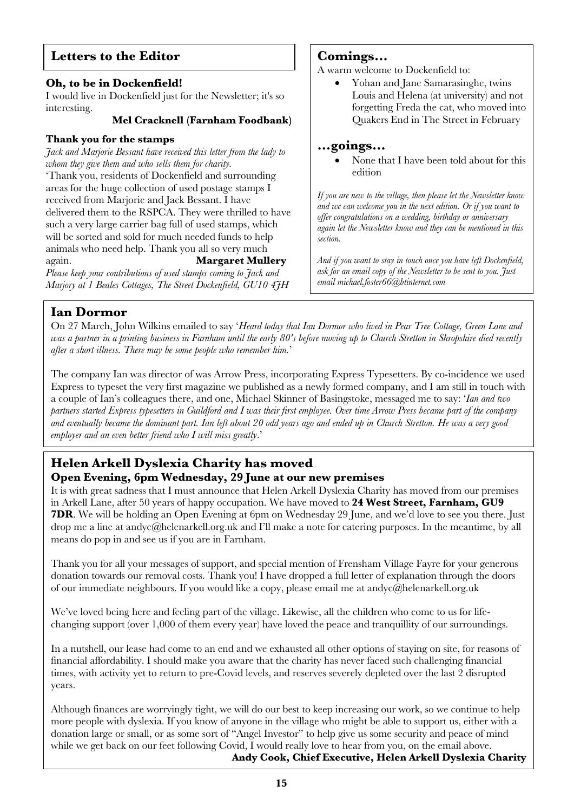# **Letters to the Editor**

#### **Oh, to be in Dockenfield!**

I would live in Dockenfield just for the Newsletter; it's so interesting.

#### **Mel Cracknell (Farnham Foodbank)**

#### **Thank you for the stamps**

*Jack and Marjorie Bessant have received this letter from the lady to whom they give them and who sells them for charity.* 'Thank you, residents of Dockenfield and surrounding areas for the huge collection of used postage stamps I received from Marjorie and Jack Bessant. I have delivered them to the RSPCA. They were thrilled to have such a very large carrier bag full of used stamps, which will be sorted and sold for much needed funds to help animals who need help. Thank you all so very much again. **Margaret Mullery**

*Please keep your contributions of used stamps coming to Jack and Marjory at 1 Beales Cottages, The Street Dockenfield, GU10 4JH*

# **Comings…**

A warm welcome to Dockenfield to:

• Yohan and Jane Samarasinghe, twins Louis and Helena (at university) and not forgetting Freda the cat, who moved into Quakers End in The Street in February

#### **…goings…**

None that I have been told about for this edition

*If you are new to the village, then please let the Newsletter know and we can welcome you in the next edition. Or if you want to offer congratulations on a wedding, birthday or anniversary again let the Newsletter know and they can be mentioned in this section.* 

*And if you want to stay in touch once you have left Dockenfield, ask for an email copy of the Newsletter to be sent to you. Just email michael.foster66@btinternet.com*

# **Ian Dormor**

On 27 March, John Wilkins emailed to say '*Heard today that Ian Dormor who lived in Pear Tree Cottage, Green Lane and was a partner in a printing business in Farnham until the early 80's before moving up to Church Stretton in Shropshire died recently after a short illness. There may be some people who remember him.*'

The company Ian was director of was Arrow Press, incorporating Express Typesetters. By co-incidence we used Express to typeset the very first magazine we published as a newly formed company, and I am still in touch with a couple of Ian's colleagues there, and one, Michael Skinner of Basingstoke, messaged me to say: '*Ian and two partners started Express typesetters in Guildford and I was their first employee. Over time Arrow Press became part of the company and eventually became the dominant part. Ian left about 20 odd years ago and ended up in Church Stretton. He was a very good employer and an even better friend who I will miss greatly*.'

#### **Helen Arkell Dyslexia Charity has moved Open Evening, 6pm Wednesday, 29 June at our new premises**

It is with great sadness that I must announce that Helen Arkell Dyslexia Charity has moved from our premises in Arkell Lane, after 50 years of happy occupation. We have moved to **24 West Street, Farnham, GU9 7DR**. We will be holding an Open Evening at 6pm on Wednesday 29 June, and we'd love to see you there. Just drop me a line at andyc@helenarkell.org.uk and I'll make a note for catering purposes. In the meantime, by all means do pop in and see us if you are in Farnham.

Thank you for all your messages of support, and special mention of Frensham Village Fayre for your generous donation towards our removal costs. Thank you! I have dropped a full letter of explanation through the doors of our immediate neighbours. If you would like a copy, please email me at andyc@helenarkell.org.uk

We've loved being here and feeling part of the village. Likewise, all the children who come to us for lifechanging support (over 1,000 of them every year) have loved the peace and tranquillity of our surroundings.

In a nutshell, our lease had come to an end and we exhausted all other options of staying on site, for reasons of financial affordability. I should make you aware that the charity has never faced such challenging financial times, with activity yet to return to pre-Covid levels, and reserves severely depleted over the last 2 disrupted years.

Although finances are worryingly tight, we will do our best to keep increasing our work, so we continue to help more people with dyslexia. If you know of anyone in the village who might be able to support us, either with a donation large or small, or as some sort of "Angel Investor" to help give us some security and peace of mind while we get back on our feet following Covid, I would really love to hear from you, on the email above.

**Andy Cook, Chief Executive, Helen Arkell Dyslexia Charity**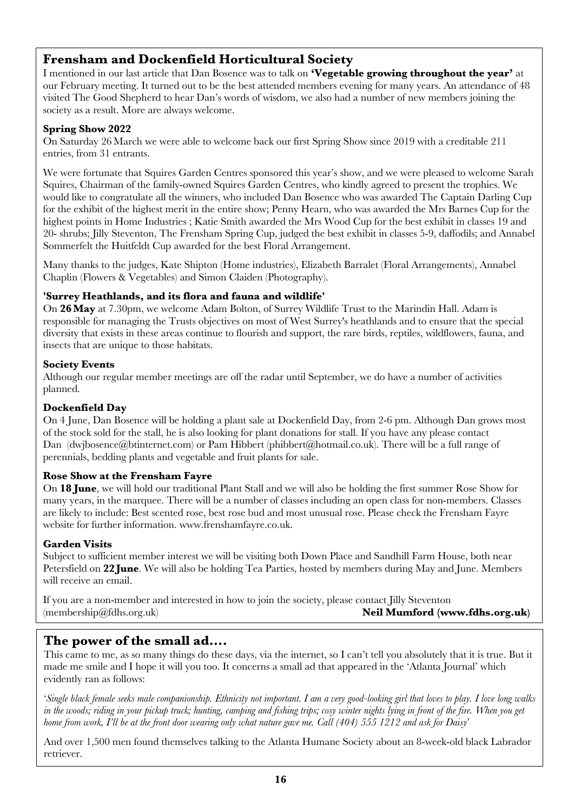# **Frensham and Dockenfield Horticultural Society**

I mentioned in our last article that Dan Bosence was to talk on **'Vegetable growing throughout the year'** at our February meeting. It turned out to be the best attended members evening for many years. An attendance of 48 visited The Good Shepherd to hear Dan's words of wisdom, we also had a number of new members joining the society as a result. More are always welcome.

#### **Spring Show 2022**

On Saturday 26 March we were able to welcome back our first Spring Show since 2019 with a creditable 211 entries, from 31 entrants.

We were fortunate that Squires Garden Centres sponsored this year's show, and we were pleased to welcome Sarah Squires, Chairman of the family-owned Squires Garden Centres, who kindly agreed to present the trophies. We would like to congratulate all the winners, who included Dan Bosence who was awarded The Captain Darling Cup for the exhibit of the highest merit in the entire show; Penny Hearn, who was awarded the Mrs Barnes Cup for the highest points in Home Industries ; Katie Smith awarded the Mrs Wood Cup for the best exhibit in classes 19 and 20- shrubs; Jilly Steventon, The Frensham Spring Cup, judged the best exhibit in classes 5-9, daffodils; and Annabel Sommerfelt the Huitfeldt Cup awarded for the best Floral Arrangement.

Many thanks to the judges, Kate Shipton (Home industries), Elizabeth Barralet (Floral Arrangements), Annabel Chaplin (Flowers & Vegetables) and Simon Claiden (Photography).

#### **'Surrey Heathlands, and its flora and fauna and wildlife'**

On **26May** at 7.30pm, we welcome Adam Bolton, of Surrey Wildlife Trust to the Marindin Hall. Adam is responsible for managing the Trusts objectives on most of West Surrey's heathlands and to ensure that the special diversity that exists in these areas continue to flourish and support, the rare birds, reptiles, wildflowers, fauna, and insects that are unique to those habitats.

#### **Society Events**

Although our regular member meetings are off the radar until September, we do have a number of activities planned.

#### **Dockenfield Day**

On 4 June, Dan Bosence will be holding a plant sale at Dockenfield Day, from 2-6 pm. Although Dan grows most of the stock sold for the stall, he is also looking for plant donations for stall. If you have any please contact Dan (dwjbosence@btinternet.com) or Pam Hibbert (phibbert@hotmail.co.uk). There will be a full range of perennials, bedding plants and vegetable and fruit plants for sale.

#### **Rose Show at the Frensham Fayre**

On **18 June**, we will hold our traditional Plant Stall and we will also be holding the first summer Rose Show for many years, in the marquee. There will be a number of classes including an open class for non-members. Classes are likely to include: Best scented rose, best rose bud and most unusual rose. Please check the Frensham Fayre website for further information. www.frenshamfayre.co.uk.

#### **Garden Visits**

Subject to sufficient member interest we will be visiting both Down Place and Sandhill Farm House, both near Petersfield on **22 June**. We will also be holding Tea Parties, hosted by members during May and June. Members will receive an email.

If you are a non-member and interested in how to join the society, please contact Jilly Steventon (membership@fdhs.org.uk) **Neil Mumford (www.fdhs.org.uk)**

#### **The power of the small ad….**

This came to me, as so many things do these days, via the internet, so I can't tell you absolutely that it is true. But it made me smile and I hope it will you too. It concerns a small ad that appeared in the 'Atlanta Journal' which evidently ran as follows:

'*Single black female seeks male companionship. Ethnicity not important. I am a very good-looking girl that loves to play. I love long walks in the woods; riding in your pickup truck; hunting, camping and fishing trips; cosy winter nights lying in front of the fire. When you get home from work, I'll be at the front door wearing only what nature gave me. Call (404) 555 1212 and ask for Daisy*'

And over 1,500 men found themselves talking to the Atlanta Humane Society about an 8-week-old black Labrador retriever.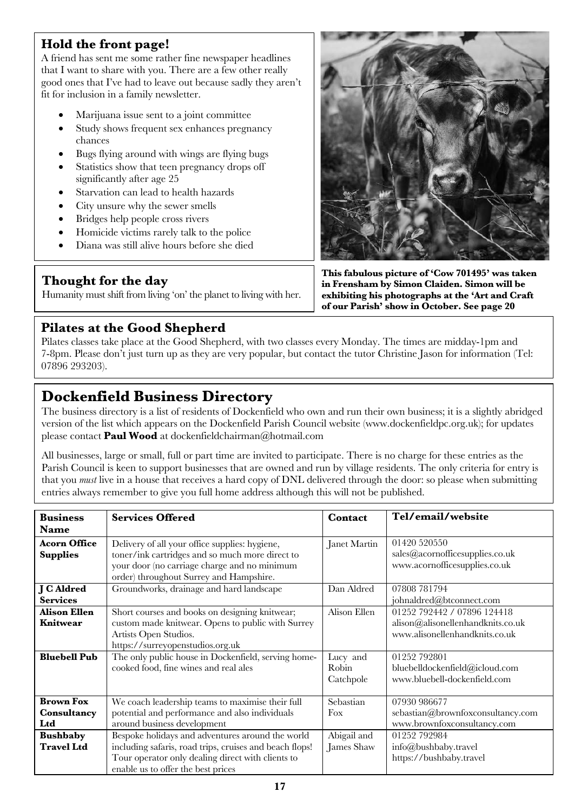# **Hold the front page!**

A friend has sent me some rather fine newspaper headlines that I want to share with you. There are a few other really good ones that I've had to leave out because sadly they aren't fit for inclusion in a family newsletter.

- Marijuana issue sent to a joint committee
- Study shows frequent sex enhances pregnancy chances
- Bugs flying around with wings are flying bugs
- Statistics show that teen pregnancy drops off significantly after age 25
- Starvation can lead to health hazards
- City unsure why the sewer smells
- Bridges help people cross rivers
- Homicide victims rarely talk to the police
- Diana was still alive hours before she died

#### **Thought for the day**

Humanity must shift from living 'on' the planet to living with her.

#### **Pilates at the Good Shepherd**

Pilates classes take place at the Good Shepherd, with two classes every Monday. The times are midday-1pm and 7-8pm. Please don't just turn up as they are very popular, but contact the tutor Christine Jason for information (Tel: 07896 293203).

# **Dockenfield Business Directory**

The business directory is a list of residents of Dockenfield who own and run their own business; it is a slightly abridged version of the list which appears on the Dockenfield Parish Council website (www.dockenfieldpc.org.uk); for updates please contact **Paul Wood** at dockenfieldchairman@hotmail.com

All businesses, large or small, full or part time are invited to participate. There is no charge for these entries as the Parish Council is keen to support businesses that are owned and run by village residents. The only criteria for entry is that you *must* live in a house that receives a hard copy of DNL delivered through the door: so please when submitting entries always remember to give you full home address although this will not be published.

| <b>Business</b>                        | <b>Services Offered</b>                                                                                                                                                                                | Contact                        | Tel/email/website                                                                                  |
|----------------------------------------|--------------------------------------------------------------------------------------------------------------------------------------------------------------------------------------------------------|--------------------------------|----------------------------------------------------------------------------------------------------|
| <b>Name</b>                            |                                                                                                                                                                                                        |                                |                                                                                                    |
| <b>Acorn Office</b><br><b>Supplies</b> | Delivery of all your office supplies: hygiene,<br>toner/ink cartridges and so much more direct to<br>your door (no carriage charge and no minimum<br>order) throughout Surrey and Hampshire.           | Janet Martin                   | 01420 520550<br>sales@acornofficesupplies.co.uk<br>www.acornofficesupplies.co.uk                   |
| J C Aldred<br><b>Services</b>          | Groundworks, drainage and hard landscape                                                                                                                                                               | Dan Aldred                     | 07808 781794<br>johnaldred@btconnect.com                                                           |
| <b>Alison Ellen</b><br>Knitwear        | Short courses and books on designing knitwear;<br>custom made knitwear. Opens to public with Surrey<br>Artists Open Studios.<br>https://surreyopenstudios.org.uk                                       | Alison Ellen                   | 01252 792442 / 07896 124418<br>alison@alisonellenhandknits.co.uk<br>www.alisonellenhandknits.co.uk |
| <b>Bluebell Pub</b>                    | The only public house in Dockenfield, serving home-<br>cooked food, fine wines and real ales                                                                                                           | Lucy and<br>Robin<br>Catchpole | 01252 792801<br>bluebelldockenfield@icloud.com<br>www.bluebell-dockenfield.com                     |
| <b>Brown Fox</b><br>Consultancy<br>Ltd | We coach leadership teams to maximise their full<br>potential and performance and also individuals<br>around business development                                                                      | Sebastian<br>Fox               | 07930 986677<br>sebastian@brownfoxconsultancy.com<br>www.brownfoxconsultancy.com                   |
| <b>Bushbaby</b><br><b>Travel Ltd</b>   | Bespoke holidays and adventures around the world<br>including safaris, road trips, cruises and beach flops!<br>Tour operator only dealing direct with clients to<br>enable us to offer the best prices | Abigail and<br>James Shaw      | 01252 792984<br>info@bushbaby.travel<br>https://bushbaby.travel                                    |



**This fabulous picture of 'Cow 701495' was taken in Frensham by Simon Claiden. Simon will be exhibiting his photographs at the 'Art and Craft of our Parish' show in October. See page 20**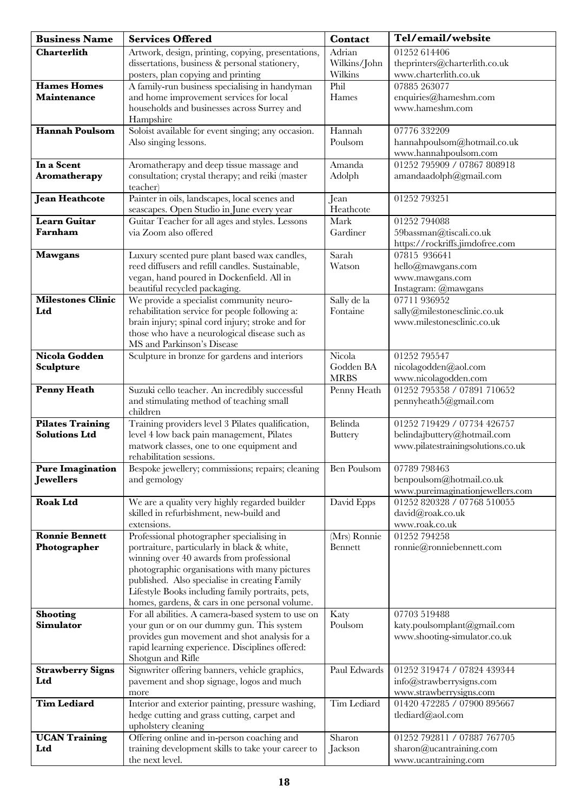| <b>Business Name</b>     | <b>Services Offered</b>                                                                             | Contact                 | Tel/email/website                                          |
|--------------------------|-----------------------------------------------------------------------------------------------------|-------------------------|------------------------------------------------------------|
| <b>Charterlith</b>       | Artwork, design, printing, copying, presentations,                                                  | Adrian                  | 01252 614406                                               |
|                          | dissertations, business & personal stationery,                                                      | Wilkins/John            | theprinters@charterlith.co.uk                              |
|                          | posters, plan copying and printing                                                                  | Wilkins                 | www.charterlith.co.uk                                      |
| <b>Hames Homes</b>       | A family-run business specialising in handyman                                                      | Phil                    | 07885 263077                                               |
| Maintenance              | and home improvement services for local                                                             | Hames                   | enquiries@hameshm.com                                      |
|                          | households and businesses across Surrey and                                                         |                         | www.hameshm.com                                            |
|                          | Hampshire                                                                                           |                         |                                                            |
| <b>Hannah Poulsom</b>    | Soloist available for event singing; any occasion.                                                  | Hannah                  | 07776 332209                                               |
|                          | Also singing lessons.                                                                               | Poulsom                 | hannahpoulsom@hotmail.co.uk                                |
|                          |                                                                                                     |                         | www.hannahpoulsom.com                                      |
| In a Scent               | Aromatherapy and deep tissue massage and                                                            | Amanda                  | 01252 795909 / 07867 808918                                |
| Aromatherapy             | consultation; crystal therapy; and reiki (master                                                    | Adolph                  | amandaadolph@gmail.com                                     |
|                          | teacher)                                                                                            |                         |                                                            |
| <b>Jean Heathcote</b>    | Painter in oils, landscapes, local scenes and                                                       | Jean                    | 01252 793251                                               |
|                          | seascapes. Open Studio in June every year                                                           | Heathcote               |                                                            |
| <b>Learn Guitar</b>      | Guitar Teacher for all ages and styles. Lessons                                                     | Mark                    | 01252 794088                                               |
| Farnham                  | via Zoom also offered                                                                               | Gardiner                | 59bassman@tiscali.co.uk                                    |
|                          |                                                                                                     |                         | https://rockriffs.jimdofree.com                            |
| <b>Mawgans</b>           | Luxury scented pure plant based wax candles,                                                        | Sarah                   | 07815 936641                                               |
|                          | reed diffusers and refill candles. Sustainable,                                                     | Watson                  | hello@mawgans.com                                          |
|                          | vegan, hand poured in Dockenfield. All in                                                           |                         | www.mawgans.com                                            |
| <b>Milestones Clinic</b> | beautiful recycled packaging.                                                                       |                         | Instagram: @mawgans<br>07711 936952                        |
| Ltd                      | We provide a specialist community neuro-                                                            | Sally de la<br>Fontaine |                                                            |
|                          | rehabilitation service for people following a:<br>brain injury; spinal cord injury; stroke and for  |                         | sally@milestonesclinic.co.uk<br>www.milestonesclinic.co.uk |
|                          | those who have a neurological disease such as                                                       |                         |                                                            |
|                          | MS and Parkinson's Disease                                                                          |                         |                                                            |
| Nicola Godden            | Sculpture in bronze for gardens and interiors                                                       | Nicola                  | 01252 795547                                               |
| <b>Sculpture</b>         |                                                                                                     | Godden BA               | nicolagodden@aol.com                                       |
|                          |                                                                                                     | <b>MRBS</b>             | www.nicolagodden.com                                       |
| <b>Penny Heath</b>       | Suzuki cello teacher. An incredibly successful                                                      | Penny Heath             | 01252 795358 / 07891 710652                                |
|                          | and stimulating method of teaching small                                                            |                         | pennyheath5@gmail.com                                      |
|                          | children                                                                                            |                         |                                                            |
| <b>Pilates Training</b>  | Training providers level 3 Pilates qualification,                                                   | Belinda                 | 01252 719429 / 07734 426757                                |
| <b>Solutions Ltd</b>     | level 4 low back pain management, Pilates                                                           | <b>Buttery</b>          | belindajbuttery@hotmail.com                                |
|                          | matwork classes, one to one equipment and                                                           |                         | www.pilatestrainingsolutions.co.uk                         |
|                          | rehabilitation sessions.                                                                            |                         |                                                            |
| <b>Pure Imagination</b>  | Bespoke jewellery; commissions; repairs; cleaning                                                   | <b>Ben Poulsom</b>      | 07789 798463                                               |
| <b>Jewellers</b>         | and gemology                                                                                        |                         | benpoulsom@hotmail.co.uk                                   |
|                          |                                                                                                     |                         | www.pureimaginationjewellers.com                           |
| <b>Roak Ltd</b>          | We are a quality very highly regarded builder                                                       | David Epps              | 01252 820328 / 07768 510055                                |
|                          | skilled in refurbishment, new-build and                                                             |                         | david@roak.co.uk                                           |
|                          | extensions.                                                                                         |                         | www.roak.co.uk                                             |
| <b>Ronnie Bennett</b>    | Professional photographer specialising in                                                           | $(Mrs)$ Ronnie          | 01252 794258                                               |
| Photographer             | portraiture, particularly in black & white,                                                         | <b>Bennett</b>          | ronnie@ronniebennett.com                                   |
|                          | winning over 40 awards from professional                                                            |                         |                                                            |
|                          | photographic organisations with many pictures                                                       |                         |                                                            |
|                          | published. Also specialise in creating Family                                                       |                         |                                                            |
|                          | Lifestyle Books including family portraits, pets,<br>homes, gardens, & cars in one personal volume. |                         |                                                            |
| <b>Shooting</b>          | For all abilities. A camera-based system to use on                                                  | Katy                    | 07703 519488                                               |
| <b>Simulator</b>         | your gun or on our dummy gun. This system                                                           | Poulsom                 | katy.poulsomplant@gmail.com                                |
|                          | provides gun movement and shot analysis for a                                                       |                         | www.shooting-simulator.co.uk                               |
|                          | rapid learning experience. Disciplines offered:                                                     |                         |                                                            |
|                          | Shotgun and Rifle                                                                                   |                         |                                                            |
| <b>Strawberry Signs</b>  | Signwriter offering banners, vehicle graphics,                                                      | Paul Edwards            | 01252 319474 / 07824 439344                                |
| Ltd                      | pavement and shop signage, logos and much                                                           |                         | info@strawberrysigns.com                                   |
|                          | more                                                                                                |                         | www.strawberrysigns.com                                    |
| <b>Tim Lediard</b>       | Interior and exterior painting, pressure washing,                                                   | Tim Lediard             | 01420 472285 / 07900 895667                                |
|                          | hedge cutting and grass cutting, carpet and                                                         |                         | tlediard@aol.com                                           |
|                          | upholstery cleaning                                                                                 |                         |                                                            |
| <b>UCAN Training</b>     | Offering online and in-person coaching and                                                          | Sharon                  | 01252 792811 / 07887 767705                                |
| Ltd                      | training development skills to take your career to                                                  | Jackson                 | sharon@ucantraining.com                                    |
|                          | the next level.                                                                                     |                         | www.ucantraining.com                                       |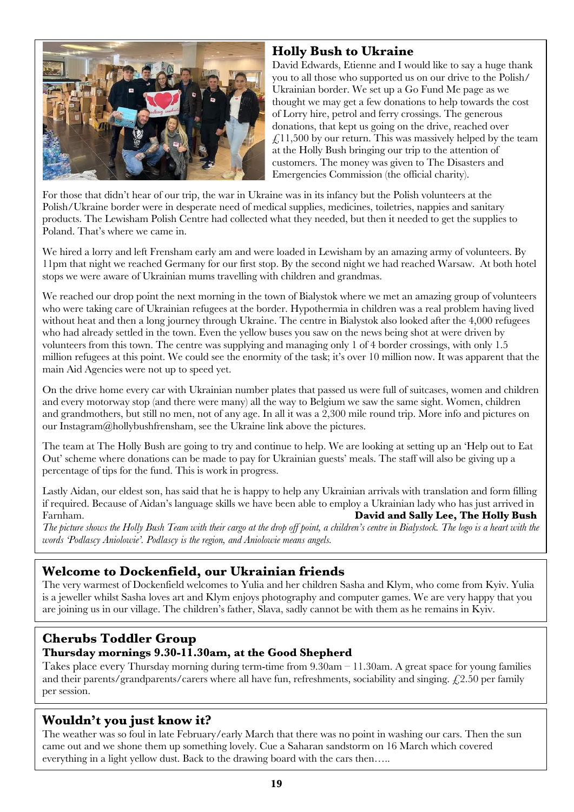

# **Holly Bush to Ukraine**

David Edwards, Etienne and I would like to say a huge thank you to all those who supported us on our drive to the Polish/ Ukrainian border. We set up a Go Fund Me page as we thought we may get a few donations to help towards the cost of Lorry hire, petrol and ferry crossings. The generous donations, that kept us going on the drive, reached over  $\angle$  £11,500 by our return. This was massively helped by the team at the Holly Bush bringing our trip to the attention of customers. The money was given to The Disasters and Emergencies Commission (the official charity).

For those that didn't hear of our trip, the war in Ukraine was in its infancy but the Polish volunteers at the Polish/Ukraine border were in desperate need of medical supplies, medicines, toiletries, nappies and sanitary products. The Lewisham Polish Centre had collected what they needed, but then it needed to get the supplies to Poland. That's where we came in.

We hired a lorry and left Frensham early am and were loaded in Lewisham by an amazing army of volunteers. By 11pm that night we reached Germany for our first stop. By the second night we had reached Warsaw. At both hotel stops we were aware of Ukrainian mums travelling with children and grandmas.

We reached our drop point the next morning in the town of Bialystok where we met an amazing group of volunteers who were taking care of Ukrainian refugees at the border. Hypothermia in children was a real problem having lived without heat and then a long journey through Ukraine. The centre in Bialystok also looked after the 4,000 refugees who had already settled in the town. Even the yellow buses you saw on the news being shot at were driven by volunteers from this town. The centre was supplying and managing only 1 of 4 border crossings, with only 1.5 million refugees at this point. We could see the enormity of the task; it's over 10 million now. It was apparent that the main Aid Agencies were not up to speed yet.

On the drive home every car with Ukrainian number plates that passed us were full of suitcases, women and children and every motorway stop (and there were many) all the way to Belgium we saw the same sight. Women, children and grandmothers, but still no men, not of any age. In all it was a 2,300 mile round trip. More info and pictures on our Instagram@hollybushfrensham, see the Ukraine link above the pictures.

The team at The Holly Bush are going to try and continue to help. We are looking at setting up an 'Help out to Eat Out' scheme where donations can be made to pay for Ukrainian guests' meals. The staff will also be giving up a percentage of tips for the fund. This is work in progress.

Lastly Aidan, our eldest son, has said that he is happy to help any Ukrainian arrivals with translation and form filling if required. Because of Aidan's language skills we have been able to employ a Ukrainian lady who has just arrived in Farnham. **David and Sally Lee, The Holly Bush**

*The picture shows the Holly Bush Team with their cargo at the drop off point, a children's centre in Bialystock. The logo is a heart with the words 'Podlascy Aniolowie'. Podlascy is the region, and Aniolowie means angels.*

# **Welcome to Dockenfield, our Ukrainian friends**

The very warmest of Dockenfield welcomes to Yulia and her children Sasha and Klym, who come from Kyiv. Yulia is a jeweller whilst Sasha loves art and Klym enjoys photography and computer games. We are very happy that you are joining us in our village. The children's father, Slava, sadly cannot be with them as he remains in Kyiv.

#### **Cherubs Toddler Group Thursday mornings 9.30-11.30am, at the Good Shepherd**

Takes place every Thursday morning during term-time from 9.30am – 11.30am. A great space for young families and their parents/grandparents/carers where all have fun, refreshments, sociability and singing.  $\angle 2.50$  per family per session.

# **Wouldn't you just know it?**

The weather was so foul in late February/early March that there was no point in washing our cars. Then the sun came out and we shone them up something lovely. Cue a Saharan sandstorm on 16 March which covered everything in a light yellow dust. Back to the drawing board with the cars then…..